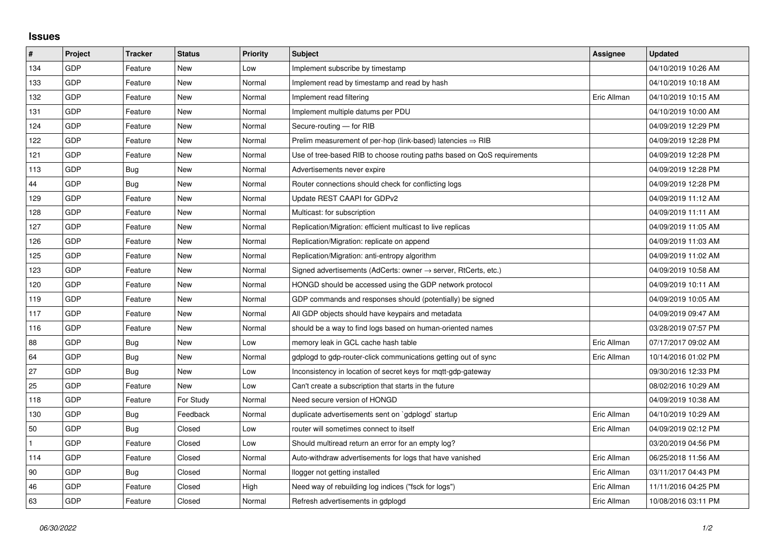## **Issues**

| #   | Project    | <b>Tracker</b> | <b>Status</b> | <b>Priority</b> | <b>Subject</b>                                                          | Assignee    | <b>Updated</b>      |
|-----|------------|----------------|---------------|-----------------|-------------------------------------------------------------------------|-------------|---------------------|
| 134 | GDP        | Feature        | <b>New</b>    | Low             | Implement subscribe by timestamp                                        |             | 04/10/2019 10:26 AM |
| 133 | GDP        | Feature        | New           | Normal          | Implement read by timestamp and read by hash                            |             | 04/10/2019 10:18 AM |
| 132 | GDP        | Feature        | New           | Normal          | Implement read filtering                                                | Eric Allman | 04/10/2019 10:15 AM |
| 131 | GDP        | Feature        | <b>New</b>    | Normal          | Implement multiple datums per PDU                                       |             | 04/10/2019 10:00 AM |
| 124 | GDP        | Feature        | <b>New</b>    | Normal          | Secure-routing - for RIB                                                |             | 04/09/2019 12:29 PM |
| 122 | <b>GDP</b> | Feature        | New           | Normal          | Prelim measurement of per-hop (link-based) latencies $\Rightarrow$ RIB  |             | 04/09/2019 12:28 PM |
| 121 | GDP        | Feature        | <b>New</b>    | Normal          | Use of tree-based RIB to choose routing paths based on QoS requirements |             | 04/09/2019 12:28 PM |
| 113 | GDP        | Bug            | New           | Normal          | Advertisements never expire                                             |             | 04/09/2019 12:28 PM |
| 44  | GDP        | Bug            | New           | Normal          | Router connections should check for conflicting logs                    |             | 04/09/2019 12:28 PM |
| 129 | GDP        | Feature        | <b>New</b>    | Normal          | Update REST CAAPI for GDPv2                                             |             | 04/09/2019 11:12 AM |
| 128 | GDP        | Feature        | New           | Normal          | Multicast: for subscription                                             |             | 04/09/2019 11:11 AM |
| 127 | GDP        | Feature        | New           | Normal          | Replication/Migration: efficient multicast to live replicas             |             | 04/09/2019 11:05 AM |
| 126 | GDP        | Feature        | <b>New</b>    | Normal          | Replication/Migration: replicate on append                              |             | 04/09/2019 11:03 AM |
| 125 | GDP        | Feature        | New           | Normal          | Replication/Migration: anti-entropy algorithm                           |             | 04/09/2019 11:02 AM |
| 123 | GDP        | Feature        | New           | Normal          | Signed advertisements (AdCerts: owner → server, RtCerts, etc.)          |             | 04/09/2019 10:58 AM |
| 120 | GDP        | Feature        | New           | Normal          | HONGD should be accessed using the GDP network protocol                 |             | 04/09/2019 10:11 AM |
| 119 | GDP        | Feature        | New           | Normal          | GDP commands and responses should (potentially) be signed               |             | 04/09/2019 10:05 AM |
| 117 | GDP        | Feature        | New           | Normal          | All GDP objects should have keypairs and metadata                       |             | 04/09/2019 09:47 AM |
| 116 | GDP        | Feature        | <b>New</b>    | Normal          | should be a way to find logs based on human-oriented names              |             | 03/28/2019 07:57 PM |
| 88  | GDP        | Bug            | New           | Low             | memory leak in GCL cache hash table                                     | Eric Allman | 07/17/2017 09:02 AM |
| 64  | GDP        | Bug            | New           | Normal          | gdplogd to gdp-router-click communications getting out of sync          | Eric Allman | 10/14/2016 01:02 PM |
| 27  | GDP        | Bug            | <b>New</b>    | Low             | Inconsistency in location of secret keys for mgtt-gdp-gateway           |             | 09/30/2016 12:33 PM |
| 25  | GDP        | Feature        | New           | Low             | Can't create a subscription that starts in the future                   |             | 08/02/2016 10:29 AM |
| 118 | GDP        | Feature        | For Study     | Normal          | Need secure version of HONGD                                            |             | 04/09/2019 10:38 AM |
| 130 | GDP        | Bug            | Feedback      | Normal          | duplicate advertisements sent on `gdplogd` startup                      | Eric Allman | 04/10/2019 10:29 AM |
| 50  | GDP        | Bug            | Closed        | Low             | router will sometimes connect to itself                                 | Eric Allman | 04/09/2019 02:12 PM |
|     | GDP        | Feature        | Closed        | Low             | Should multiread return an error for an empty log?                      |             | 03/20/2019 04:56 PM |
| 114 | GDP        | Feature        | Closed        | Normal          | Auto-withdraw advertisements for logs that have vanished                | Eric Allman | 06/25/2018 11:56 AM |
| 90  | GDP        | <b>Bug</b>     | Closed        | Normal          | llogger not getting installed                                           | Eric Allman | 03/11/2017 04:43 PM |
| 46  | GDP        | Feature        | Closed        | High            | Need way of rebuilding log indices ("fsck for logs")                    | Eric Allman | 11/11/2016 04:25 PM |
| 63  | GDP        | Feature        | Closed        | Normal          | Refresh advertisements in gdplogd                                       | Eric Allman | 10/08/2016 03:11 PM |